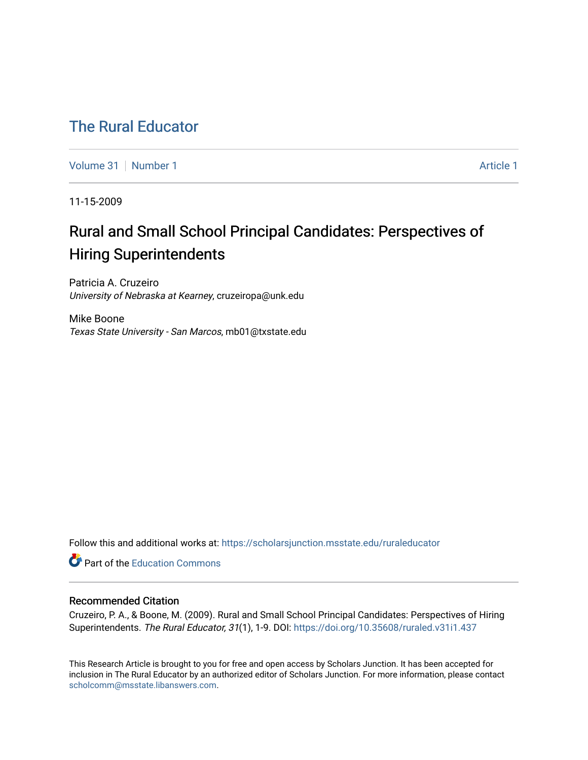## [The Rural Educator](https://scholarsjunction.msstate.edu/ruraleducator)

[Volume 31](https://scholarsjunction.msstate.edu/ruraleducator/vol31) [Number 1](https://scholarsjunction.msstate.edu/ruraleducator/vol31/iss1) Article 1

11-15-2009

# Rural and Small School Principal Candidates: Perspectives of Hiring Superintendents

Patricia A. Cruzeiro University of Nebraska at Kearney, cruzeiropa@unk.edu

Mike Boone Texas State University - San Marcos, mb01@txstate.edu

Follow this and additional works at: [https://scholarsjunction.msstate.edu/ruraleducator](https://scholarsjunction.msstate.edu/ruraleducator?utm_source=scholarsjunction.msstate.edu%2Fruraleducator%2Fvol31%2Fiss1%2F1&utm_medium=PDF&utm_campaign=PDFCoverPages)

**C** Part of the [Education Commons](http://network.bepress.com/hgg/discipline/784?utm_source=scholarsjunction.msstate.edu%2Fruraleducator%2Fvol31%2Fiss1%2F1&utm_medium=PDF&utm_campaign=PDFCoverPages)

#### Recommended Citation

Cruzeiro, P. A., & Boone, M. (2009). Rural and Small School Principal Candidates: Perspectives of Hiring Superintendents. The Rural Educator, 31(1), 1-9. DOI: <https://doi.org/10.35608/ruraled.v31i1.437>

This Research Article is brought to you for free and open access by Scholars Junction. It has been accepted for inclusion in The Rural Educator by an authorized editor of Scholars Junction. For more information, please contact [scholcomm@msstate.libanswers.com.](mailto:scholcomm@msstate.libanswers.com)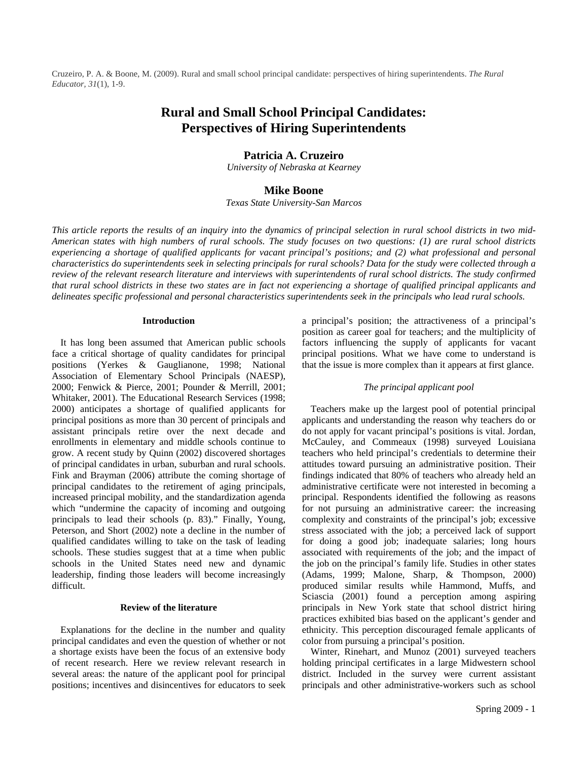Cruzeiro, P. A. & Boone, M. (2009). Rural and small school principal candidate: perspectives of hiring superintendents. *The Rural Educator, 31*(1), 1-9.

## **Rural and Small School Principal Candidates: Perspectives of Hiring Superintendents**

#### **Patricia A. Cruzeiro**

*University of Nebraska at Kearney* 

#### **Mike Boone**

*Texas State University-San Marcos* 

*This article reports the results of an inquiry into the dynamics of principal selection in rural school districts in two mid-American states with high numbers of rural schools. The study focuses on two questions: (1) are rural school districts experiencing a shortage of qualified applicants for vacant principal's positions; and (2) what professional and personal characteristics do superintendents seek in selecting principals for rural schools? Data for the study were collected through a review of the relevant research literature and interviews with superintendents of rural school districts. The study confirmed that rural school districts in these two states are in fact not experiencing a shortage of qualified principal applicants and delineates specific professional and personal characteristics superintendents seek in the principals who lead rural schools.*

#### **Introduction**

It has long been assumed that American public schools face a critical shortage of quality candidates for principal positions (Yerkes & Gauglianone, 1998; National Association of Elementary School Principals (NAESP), 2000; Fenwick & Pierce, 2001; Pounder & Merrill, 2001; Whitaker, 2001). The Educational Research Services (1998; 2000) anticipates a shortage of qualified applicants for principal positions as more than 30 percent of principals and assistant principals retire over the next decade and enrollments in elementary and middle schools continue to grow. A recent study by Quinn (2002) discovered shortages of principal candidates in urban, suburban and rural schools. Fink and Brayman (2006) attribute the coming shortage of principal candidates to the retirement of aging principals, increased principal mobility, and the standardization agenda which "undermine the capacity of incoming and outgoing principals to lead their schools (p. 83)." Finally, Young, Peterson, and Short (2002) note a decline in the number of qualified candidates willing to take on the task of leading schools. These studies suggest that at a time when public schools in the United States need new and dynamic leadership, finding those leaders will become increasingly difficult.

#### **Review of the literature**

Explanations for the decline in the number and quality principal candidates and even the question of whether or not a shortage exists have been the focus of an extensive body of recent research. Here we review relevant research in several areas: the nature of the applicant pool for principal positions; incentives and disincentives for educators to seek

a principal's position; the attractiveness of a principal's position as career goal for teachers; and the multiplicity of factors influencing the supply of applicants for vacant principal positions. What we have come to understand is that the issue is more complex than it appears at first glance.

#### *The principal applicant pool*

Teachers make up the largest pool of potential principal applicants and understanding the reason why teachers do or do not apply for vacant principal's positions is vital. Jordan, McCauley, and Commeaux (1998) surveyed Louisiana teachers who held principal's credentials to determine their attitudes toward pursuing an administrative position. Their findings indicated that 80% of teachers who already held an administrative certificate were not interested in becoming a principal. Respondents identified the following as reasons for not pursuing an administrative career: the increasing complexity and constraints of the principal's job; excessive stress associated with the job; a perceived lack of support for doing a good job; inadequate salaries; long hours associated with requirements of the job; and the impact of the job on the principal's family life. Studies in other states (Adams, 1999; Malone, Sharp, & Thompson, 2000) produced similar results while Hammond, Muffs, and Sciascia (2001) found a perception among aspiring principals in New York state that school district hiring practices exhibited bias based on the applicant's gender and ethnicity. This perception discouraged female applicants of color from pursuing a principal's position.

Winter, Rinehart, and Munoz (2001) surveyed teachers holding principal certificates in a large Midwestern school district. Included in the survey were current assistant principals and other administrative-workers such as school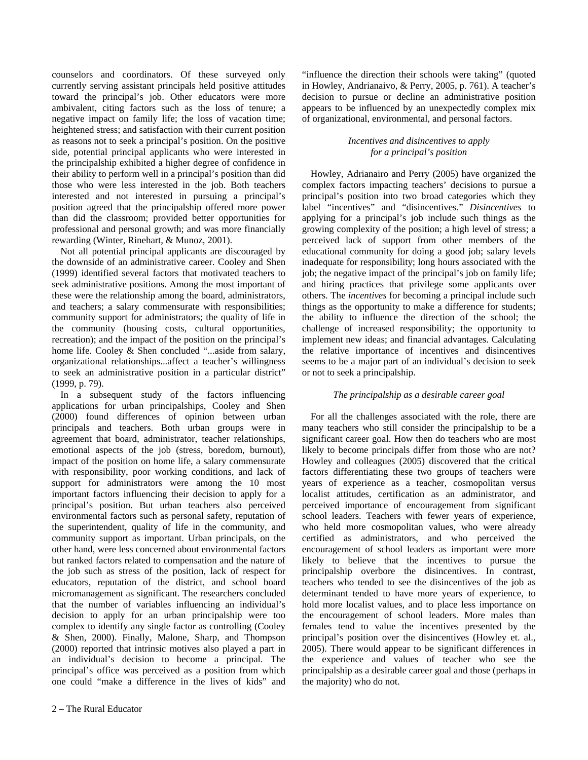counselors and coordinators. Of these surveyed only currently serving assistant principals held positive attitudes toward the principal's job. Other educators were more ambivalent, citing factors such as the loss of tenure; a negative impact on family life; the loss of vacation time; heightened stress; and satisfaction with their current position as reasons not to seek a principal's position. On the positive side, potential principal applicants who were interested in the principalship exhibited a higher degree of confidence in their ability to perform well in a principal's position than did those who were less interested in the job. Both teachers interested and not interested in pursuing a principal's position agreed that the principalship offered more power than did the classroom; provided better opportunities for professional and personal growth; and was more financially rewarding (Winter, Rinehart, & Munoz, 2001).

Not all potential principal applicants are discouraged by the downside of an administrative career. Cooley and Shen (1999) identified several factors that motivated teachers to seek administrative positions. Among the most important of these were the relationship among the board, administrators, and teachers; a salary commensurate with responsibilities; community support for administrators; the quality of life in the community (housing costs, cultural opportunities, recreation); and the impact of the position on the principal's home life. Cooley & Shen concluded "...aside from salary, organizational relationships...affect a teacher's willingness to seek an administrative position in a particular district" (1999, p. 79).

In a subsequent study of the factors influencing applications for urban principalships, Cooley and Shen (2000) found differences of opinion between urban principals and teachers. Both urban groups were in agreement that board, administrator, teacher relationships, emotional aspects of the job (stress, boredom, burnout), impact of the position on home life, a salary commensurate with responsibility, poor working conditions, and lack of support for administrators were among the 10 most important factors influencing their decision to apply for a principal's position. But urban teachers also perceived environmental factors such as personal safety, reputation of the superintendent, quality of life in the community, and community support as important. Urban principals, on the other hand, were less concerned about environmental factors but ranked factors related to compensation and the nature of the job such as stress of the position, lack of respect for educators, reputation of the district, and school board micromanagement as significant. The researchers concluded that the number of variables influencing an individual's decision to apply for an urban principalship were too complex to identify any single factor as controlling (Cooley & Shen, 2000). Finally, Malone, Sharp, and Thompson (2000) reported that intrinsic motives also played a part in an individual's decision to become a principal. The principal's office was perceived as a position from which one could "make a difference in the lives of kids" and

"influence the direction their schools were taking" (quoted in Howley, Andrianaivo, & Perry, 2005, p. 761). A teacher's decision to pursue or decline an administrative position appears to be influenced by an unexpectedly complex mix of organizational, environmental, and personal factors.

#### *Incentives and disincentives to apply for a principal's position*

Howley, Adrianairo and Perry (2005) have organized the complex factors impacting teachers' decisions to pursue a principal's position into two broad categories which they label "incentives" and "disincentives." *Disincentives* to applying for a principal's job include such things as the growing complexity of the position; a high level of stress; a perceived lack of support from other members of the educational community for doing a good job; salary levels inadequate for responsibility; long hours associated with the job; the negative impact of the principal's job on family life; and hiring practices that privilege some applicants over others. The *incentives* for becoming a principal include such things as the opportunity to make a difference for students; the ability to influence the direction of the school; the challenge of increased responsibility; the opportunity to implement new ideas; and financial advantages. Calculating the relative importance of incentives and disincentives seems to be a major part of an individual's decision to seek or not to seek a principalship.

### *The principalship as a desirable career goal*

For all the challenges associated with the role, there are many teachers who still consider the principalship to be a significant career goal. How then do teachers who are most likely to become principals differ from those who are not? Howley and colleagues (2005) discovered that the critical factors differentiating these two groups of teachers were years of experience as a teacher, cosmopolitan versus localist attitudes, certification as an administrator, and perceived importance of encouragement from significant school leaders. Teachers with fewer years of experience, who held more cosmopolitan values, who were already certified as administrators, and who perceived the encouragement of school leaders as important were more likely to believe that the incentives to pursue the principalship overbore the disincentives. In contrast, teachers who tended to see the disincentives of the job as determinant tended to have more years of experience, to hold more localist values, and to place less importance on the encouragement of school leaders. More males than females tend to value the incentives presented by the principal's position over the disincentives (Howley et. al., 2005). There would appear to be significant differences in the experience and values of teacher who see the principalship as a desirable career goal and those (perhaps in the majority) who do not.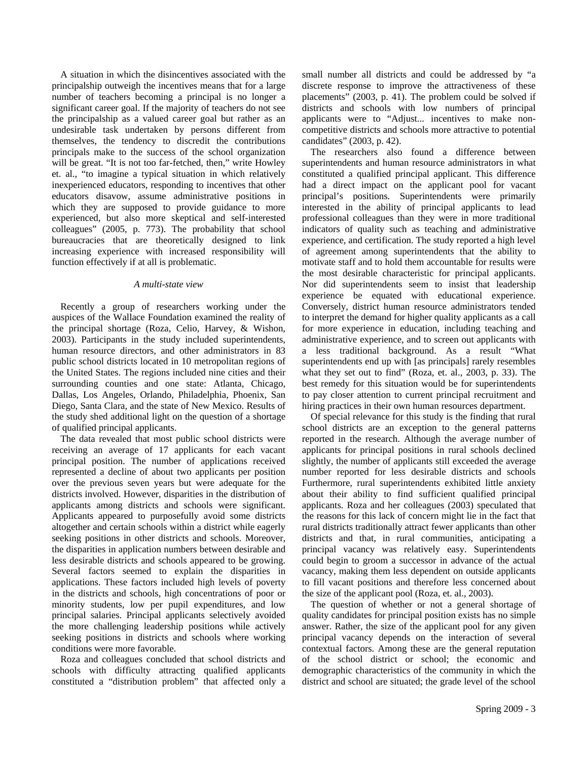A situation in which the disincentives associated with the principalship outweigh the incentives means that for a large number of teachers becoming a principal is no longer a significant career goal. If the majority of teachers do not see the principalship as a valued career goal but rather as an undesirable task undertaken by persons different from themselves, the tendency to discredit the contributions principals make to the success of the school organization will be great. "It is not too far-fetched, then," write Howley et. al., "to imagine a typical situation in which relatively inexperienced educators, responding to incentives that other educators disavow, assume administrative positions in which they are supposed to provide guidance to more experienced, but also more skeptical and self-interested colleagues" (2005, p. 773). The probability that school bureaucracies that are theoretically designed to link increasing experience with increased responsibility will function effectively if at all is problematic.

#### *A multi-state view*

Recently a group of researchers working under the auspices of the Wallace Foundation examined the reality of the principal shortage (Roza, Celio, Harvey, & Wishon, 2003). Participants in the study included superintendents, human resource directors, and other administrators in 83 public school districts located in 10 metropolitan regions of the United States. The regions included nine cities and their surrounding counties and one state: Atlanta, Chicago, Dallas, Los Angeles, Orlando, Philadelphia, Phoenix, San Diego, Santa Clara, and the state of New Mexico. Results of the study shed additional light on the question of a shortage of qualified principal applicants.

The data revealed that most public school districts were receiving an average of 17 applicants for each vacant principal position. The number of applications received represented a decline of about two applicants per position over the previous seven years but were adequate for the districts involved. However, disparities in the distribution of applicants among districts and schools were significant. Applicants appeared to purposefully avoid some districts altogether and certain schools within a district while eagerly seeking positions in other districts and schools. Moreover, the disparities in application numbers between desirable and less desirable districts and schools appeared to be growing. Several factors seemed to explain the disparities in applications. These factors included high levels of poverty in the districts and schools, high concentrations of poor or minority students, low per pupil expenditures, and low principal salaries. Principal applicants selectively avoided the more challenging leadership positions while actively seeking positions in districts and schools where working conditions were more favorable.

Roza and colleagues concluded that school districts and schools with difficulty attracting qualified applicants constituted a "distribution problem" that affected only a

small number all districts and could be addressed by "a discrete response to improve the attractiveness of these placements" (2003, p. 41). The problem could be solved if districts and schools with low numbers of principal applicants were to "Adjust... incentives to make noncompetitive districts and schools more attractive to potential candidates" (2003, p. 42).

The researchers also found a difference between superintendents and human resource administrators in what constituted a qualified principal applicant. This difference had a direct impact on the applicant pool for vacant principal's positions. Superintendents were primarily interested in the ability of principal applicants to lead professional colleagues than they were in more traditional indicators of quality such as teaching and administrative experience, and certification. The study reported a high level of agreement among superintendents that the ability to motivate staff and to hold them accountable for results were the most desirable characteristic for principal applicants. Nor did superintendents seem to insist that leadership experience be equated with educational experience. Conversely, district human resource administrators tended to interpret the demand for higher quality applicants as a call for more experience in education, including teaching and administrative experience, and to screen out applicants with a less traditional background. As a result "What superintendents end up with [as principals] rarely resembles what they set out to find" (Roza, et. al., 2003, p. 33). The best remedy for this situation would be for superintendents to pay closer attention to current principal recruitment and hiring practices in their own human resources department.

Of special relevance for this study is the finding that rural school districts are an exception to the general patterns reported in the research. Although the average number of applicants for principal positions in rural schools declined slightly, the number of applicants still exceeded the average number reported for less desirable districts and schools Furthermore, rural superintendents exhibited little anxiety about their ability to find sufficient qualified principal applicants. Roza and her colleagues (2003) speculated that the reasons for this lack of concern might lie in the fact that rural districts traditionally attract fewer applicants than other districts and that, in rural communities, anticipating a principal vacancy was relatively easy. Superintendents could begin to groom a successor in advance of the actual vacancy, making them less dependent on outside applicants to fill vacant positions and therefore less concerned about the size of the applicant pool (Roza, et. al., 2003).

The question of whether or not a general shortage of quality candidates for principal position exists has no simple answer. Rather, the size of the applicant pool for any given principal vacancy depends on the interaction of several contextual factors. Among these are the general reputation of the school district or school; the economic and demographic characteristics of the community in which the district and school are situated; the grade level of the school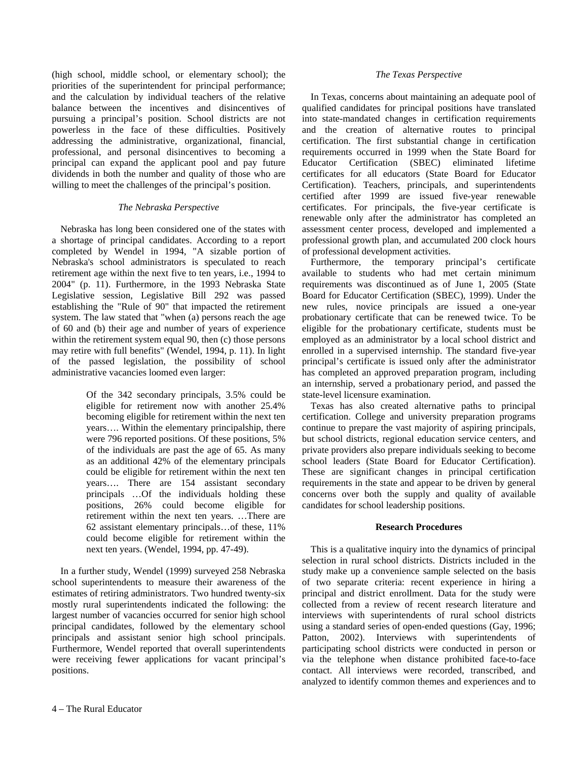(high school, middle school, or elementary school); the priorities of the superintendent for principal performance; and the calculation by individual teachers of the relative balance between the incentives and disincentives of pursuing a principal's position. School districts are not powerless in the face of these difficulties. Positively addressing the administrative, organizational, financial, professional, and personal disincentives to becoming a principal can expand the applicant pool and pay future dividends in both the number and quality of those who are willing to meet the challenges of the principal's position.

#### *The Nebraska Perspective*

Nebraska has long been considered one of the states with a shortage of principal candidates. According to a report completed by Wendel in 1994, "A sizable portion of Nebraska's school administrators is speculated to reach retirement age within the next five to ten years, i.e., 1994 to 2004" (p. 11). Furthermore, in the 1993 Nebraska State Legislative session, Legislative Bill 292 was passed establishing the "Rule of 90" that impacted the retirement system. The law stated that "when (a) persons reach the age of 60 and (b) their age and number of years of experience within the retirement system equal 90, then (c) those persons may retire with full benefits" (Wendel, 1994, p. 11). In light of the passed legislation, the possibility of school administrative vacancies loomed even larger:

> Of the 342 secondary principals, 3.5% could be eligible for retirement now with another 25.4% becoming eligible for retirement within the next ten years…. Within the elementary principalship, there were 796 reported positions. Of these positions, 5% of the individuals are past the age of 65. As many as an additional 42% of the elementary principals could be eligible for retirement within the next ten years…. There are 154 assistant secondary principals …Of the individuals holding these positions, 26% could become eligible for retirement within the next ten years. …There are 62 assistant elementary principals…of these, 11% could become eligible for retirement within the next ten years. (Wendel, 1994, pp. 47-49).

In a further study, Wendel (1999) surveyed 258 Nebraska school superintendents to measure their awareness of the estimates of retiring administrators. Two hundred twenty-six mostly rural superintendents indicated the following: the largest number of vacancies occurred for senior high school principal candidates, followed by the elementary school principals and assistant senior high school principals. Furthermore, Wendel reported that overall superintendents were receiving fewer applications for vacant principal's positions.

#### *The Texas Perspective*

In Texas, concerns about maintaining an adequate pool of qualified candidates for principal positions have translated into state-mandated changes in certification requirements and the creation of alternative routes to principal certification. The first substantial change in certification requirements occurred in 1999 when the State Board for<br>Educator Certification (SBEC) eliminated lifetime Educator Certification (SBEC) certificates for all educators (State Board for Educator Certification). Teachers, principals, and superintendents certified after 1999 are issued five-year renewable certificates. For principals, the five-year certificate is renewable only after the administrator has completed an assessment center process, developed and implemented a professional growth plan, and accumulated 200 clock hours of professional development activities.

Furthermore, the temporary principal's certificate available to students who had met certain minimum requirements was discontinued as of June 1, 2005 (State Board for Educator Certification (SBEC), 1999). Under the new rules, novice principals are issued a one-year probationary certificate that can be renewed twice. To be eligible for the probationary certificate, students must be employed as an administrator by a local school district and enrolled in a supervised internship. The standard five-year principal's certificate is issued only after the administrator has completed an approved preparation program, including an internship, served a probationary period, and passed the state-level licensure examination.

Texas has also created alternative paths to principal certification. College and university preparation programs continue to prepare the vast majority of aspiring principals, but school districts, regional education service centers, and private providers also prepare individuals seeking to become school leaders (State Board for Educator Certification). These are significant changes in principal certification requirements in the state and appear to be driven by general concerns over both the supply and quality of available candidates for school leadership positions.

#### **Research Procedures**

This is a qualitative inquiry into the dynamics of principal selection in rural school districts. Districts included in the study make up a convenience sample selected on the basis of two separate criteria: recent experience in hiring a principal and district enrollment. Data for the study were collected from a review of recent research literature and interviews with superintendents of rural school districts using a standard series of open-ended questions (Gay, 1996; Patton, 2002). Interviews with superintendents of participating school districts were conducted in person or via the telephone when distance prohibited face-to-face contact. All interviews were recorded, transcribed, and analyzed to identify common themes and experiences and to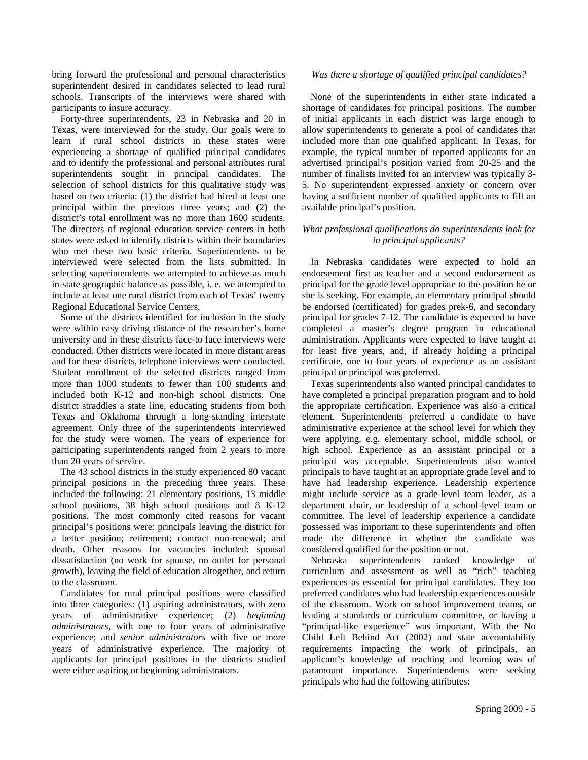bring forward the professional and personal characteristics superintendent desired in candidates selected to lead rural schools. Transcripts of the interviews were shared with participants to insure accuracy.

Forty-three superintendents, 23 in Nebraska and 20 in Texas, were interviewed for the study. Our goals were to learn if rural school districts in these states were experiencing a shortage of qualified principal candidates and to identify the professional and personal attributes rural superintendents sought in principal candidates. The selection of school districts for this qualitative study was based on two criteria: (1) the district had hired at least one principal within the previous three years; and (2) the district's total enrollment was no more than 1600 students. The directors of regional education service centers in both states were asked to identify districts within their boundaries who met these two basic criteria. Superintendents to be interviewed were selected from the lists submitted. In selecting superintendents we attempted to achieve as much in-state geographic balance as possible, i. e. we attempted to include at least one rural district from each of Texas' twenty Regional Educational Service Centers.

Some of the districts identified for inclusion in the study were within easy driving distance of the researcher's home university and in these districts face-to face interviews were conducted. Other districts were located in more distant areas and for these districts, telephone interviews were conducted. Student enrollment of the selected districts ranged from more than 1000 students to fewer than 100 students and included both K-12 and non-high school districts. One district straddles a state line, educating students from both Texas and Oklahoma through a long-standing interstate agreement. Only three of the superintendents interviewed for the study were women. The years of experience for participating superintendents ranged from 2 years to more than 20 years of service.

The 43 school districts in the study experienced 80 vacant principal positions in the preceding three years. These included the following: 21 elementary positions, 13 middle school positions, 38 high school positions and 8 K-12 positions. The most commonly cited reasons for vacant principal's positions were: principals leaving the district for a better position; retirement; contract non-renewal; and death. Other reasons for vacancies included: spousal dissatisfaction (no work for spouse, no outlet for personal growth), leaving the field of education altogether, and return to the classroom.

Candidates for rural principal positions were classified into three categories: (1) aspiring administrators, with zero years of administrative experience; (2) *beginning administrators*, with one to four years of administrative experience; and *senior administrators* with five or more years of administrative experience. The majority of applicants for principal positions in the districts studied were either aspiring or beginning administrators.

#### *Was there a shortage of qualified principal candidates?*

None of the superintendents in either state indicated a shortage of candidates for principal positions. The number of initial applicants in each district was large enough to allow superintendents to generate a pool of candidates that included more than one qualified applicant. In Texas, for example, the typical number of reported applicants for an advertised principal's position varied from 20-25 and the number of finalists invited for an interview was typically 3- 5. No superintendent expressed anxiety or concern over having a sufficient number of qualified applicants to fill an available principal's position.

#### *What professional qualifications do superintendents look for in principal applicants?*

In Nebraska candidates were expected to hold an endorsement first as teacher and a second endorsement as principal for the grade level appropriate to the position he or she is seeking. For example, an elementary principal should be endorsed (certificated) for grades prek-6, and secondary principal for grades 7-12. The candidate is expected to have completed a master's degree program in educational administration. Applicants were expected to have taught at for least five years, and, if already holding a principal certificate, one to four years of experience as an assistant principal or principal was preferred.

Texas superintendents also wanted principal candidates to have completed a principal preparation program and to hold the appropriate certification. Experience was also a critical element. Superintendents preferred a candidate to have administrative experience at the school level for which they were applying, e.g. elementary school, middle school, or high school. Experience as an assistant principal or a principal was acceptable. Superintendents also wanted principals to have taught at an appropriate grade level and to have had leadership experience. Leadership experience might include service as a grade-level team leader, as a department chair, or leadership of a school-level team or committee. The level of leadership experience a candidate possessed was important to these superintendents and often made the difference in whether the candidate was considered qualified for the position or not.

Nebraska superintendents ranked knowledge of curriculum and assessment as well as "rich" teaching experiences as essential for principal candidates. They too preferred candidates who had leadership experiences outside of the classroom. Work on school improvement teams, or leading a standards or curriculum committee, or having a "principal-like experience" was important. With the No Child Left Behind Act (2002) and state accountability requirements impacting the work of principals, an applicant's knowledge of teaching and learning was of paramount importance. Superintendents were seeking principals who had the following attributes: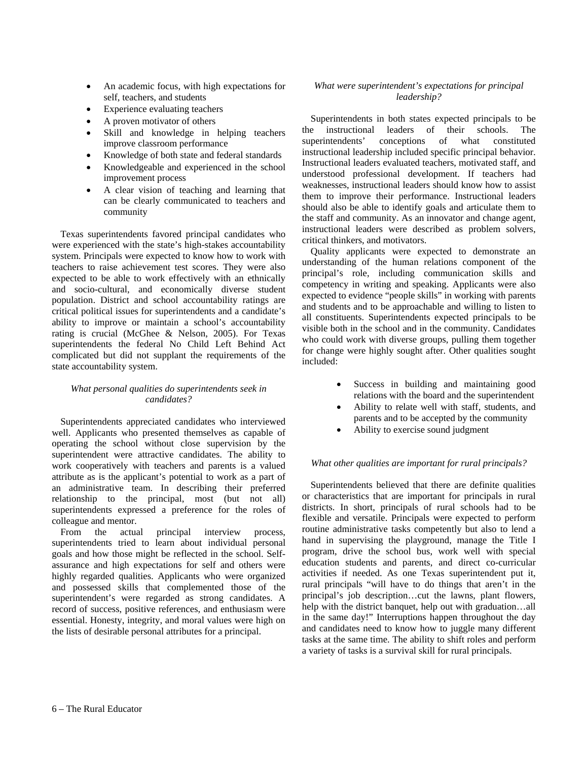- An academic focus, with high expectations for self, teachers, and students
- Experience evaluating teachers
- A proven motivator of others
- Skill and knowledge in helping teachers improve classroom performance
- Knowledge of both state and federal standards
- Knowledgeable and experienced in the school improvement process
- A clear vision of teaching and learning that can be clearly communicated to teachers and community

Texas superintendents favored principal candidates who were experienced with the state's high-stakes accountability system. Principals were expected to know how to work with teachers to raise achievement test scores. They were also expected to be able to work effectively with an ethnically and socio-cultural, and economically diverse student population. District and school accountability ratings are critical political issues for superintendents and a candidate's ability to improve or maintain a school's accountability rating is crucial (McGhee & Nelson, 2005). For Texas superintendents the federal No Child Left Behind Act complicated but did not supplant the requirements of the state accountability system.

#### *What personal qualities do superintendents seek in candidates?*

Superintendents appreciated candidates who interviewed well. Applicants who presented themselves as capable of operating the school without close supervision by the superintendent were attractive candidates. The ability to work cooperatively with teachers and parents is a valued attribute as is the applicant's potential to work as a part of an administrative team. In describing their preferred relationship to the principal, most (but not all) superintendents expressed a preference for the roles of colleague and mentor.

From the actual principal interview process, superintendents tried to learn about individual personal goals and how those might be reflected in the school. Selfassurance and high expectations for self and others were highly regarded qualities. Applicants who were organized and possessed skills that complemented those of the superintendent's were regarded as strong candidates. A record of success, positive references, and enthusiasm were essential. Honesty, integrity, and moral values were high on the lists of desirable personal attributes for a principal.

#### *What were superintendent's expectations for principal leadership?*

Superintendents in both states expected principals to be the instructional leaders of their schools. The superintendents' conceptions of what constituted instructional leadership included specific principal behavior. Instructional leaders evaluated teachers, motivated staff, and understood professional development. If teachers had weaknesses, instructional leaders should know how to assist them to improve their performance. Instructional leaders should also be able to identify goals and articulate them to the staff and community. As an innovator and change agent, instructional leaders were described as problem solvers, critical thinkers, and motivators.

Quality applicants were expected to demonstrate an understanding of the human relations component of the principal's role, including communication skills and competency in writing and speaking. Applicants were also expected to evidence "people skills" in working with parents and students and to be approachable and willing to listen to all constituents. Superintendents expected principals to be visible both in the school and in the community. Candidates who could work with diverse groups, pulling them together for change were highly sought after. Other qualities sought included:

- Success in building and maintaining good relations with the board and the superintendent
- Ability to relate well with staff, students, and parents and to be accepted by the community
- Ability to exercise sound judgment

#### *What other qualities are important for rural principals?*

Superintendents believed that there are definite qualities or characteristics that are important for principals in rural districts. In short, principals of rural schools had to be flexible and versatile. Principals were expected to perform routine administrative tasks competently but also to lend a hand in supervising the playground, manage the Title I program, drive the school bus, work well with special education students and parents, and direct co-curricular activities if needed. As one Texas superintendent put it, rural principals "will have to do things that aren't in the principal's job description…cut the lawns, plant flowers, help with the district banquet, help out with graduation…all in the same day!" Interruptions happen throughout the day and candidates need to know how to juggle many different tasks at the same time. The ability to shift roles and perform a variety of tasks is a survival skill for rural principals.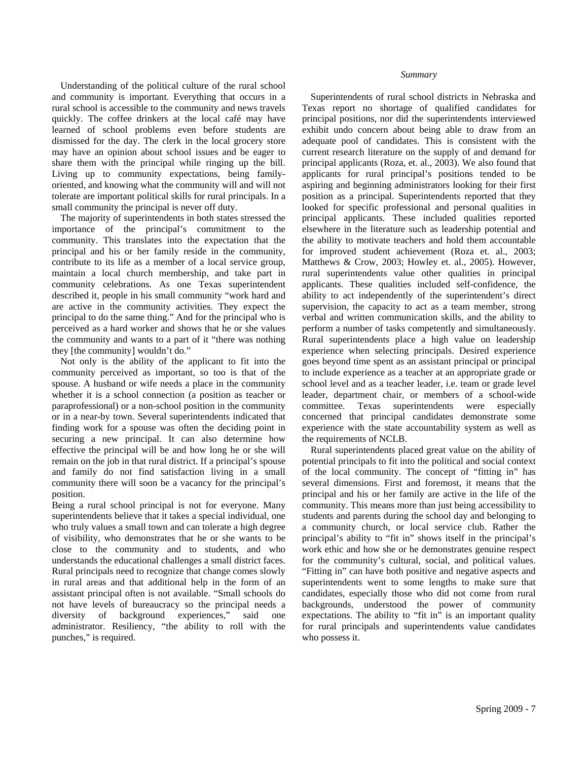Understanding of the political culture of the rural school and community is important. Everything that occurs in a rural school is accessible to the community and news travels quickly. The coffee drinkers at the local café may have learned of school problems even before students are dismissed for the day. The clerk in the local grocery store may have an opinion about school issues and be eager to share them with the principal while ringing up the bill. Living up to community expectations, being familyoriented, and knowing what the community will and will not tolerate are important political skills for rural principals. In a small community the principal is never off duty.

The majority of superintendents in both states stressed the importance of the principal's commitment to the community. This translates into the expectation that the principal and his or her family reside in the community, contribute to its life as a member of a local service group, maintain a local church membership, and take part in community celebrations. As one Texas superintendent described it, people in his small community "work hard and are active in the community activities. They expect the principal to do the same thing." And for the principal who is perceived as a hard worker and shows that he or she values the community and wants to a part of it "there was nothing they [the community] wouldn't do."

Not only is the ability of the applicant to fit into the community perceived as important, so too is that of the spouse. A husband or wife needs a place in the community whether it is a school connection (a position as teacher or paraprofessional) or a non-school position in the community or in a near-by town. Several superintendents indicated that finding work for a spouse was often the deciding point in securing a new principal. It can also determine how effective the principal will be and how long he or she will remain on the job in that rural district. If a principal's spouse and family do not find satisfaction living in a small community there will soon be a vacancy for the principal's position.

Being a rural school principal is not for everyone. Many superintendents believe that it takes a special individual, one who truly values a small town and can tolerate a high degree of visibility, who demonstrates that he or she wants to be close to the community and to students, and who understands the educational challenges a small district faces. Rural principals need to recognize that change comes slowly in rural areas and that additional help in the form of an assistant principal often is not available. "Small schools do not have levels of bureaucracy so the principal needs a diversity of background experiences," said one administrator. Resiliency, "the ability to roll with the punches," is required.

#### *Summary*

Superintendents of rural school districts in Nebraska and Texas report no shortage of qualified candidates for principal positions, nor did the superintendents interviewed exhibit undo concern about being able to draw from an adequate pool of candidates. This is consistent with the current research literature on the supply of and demand for principal applicants (Roza, et. al., 2003). We also found that applicants for rural principal's positions tended to be aspiring and beginning administrators looking for their first position as a principal. Superintendents reported that they looked for specific professional and personal qualities in principal applicants. These included qualities reported elsewhere in the literature such as leadership potential and the ability to motivate teachers and hold them accountable for improved student achievement (Roza et. al., 2003; Matthews & Crow, 2003; Howley et. al., 2005). However, rural superintendents value other qualities in principal applicants. These qualities included self-confidence, the ability to act independently of the superintendent's direct supervision, the capacity to act as a team member, strong verbal and written communication skills, and the ability to perform a number of tasks competently and simultaneously. Rural superintendents place a high value on leadership experience when selecting principals. Desired experience goes beyond time spent as an assistant principal or principal to include experience as a teacher at an appropriate grade or school level and as a teacher leader, i.e. team or grade level leader, department chair, or members of a school-wide committee. Texas superintendents were especially concerned that principal candidates demonstrate some experience with the state accountability system as well as the requirements of NCLB.

Rural superintendents placed great value on the ability of potential principals to fit into the political and social context of the local community. The concept of "fitting in" has several dimensions. First and foremost, it means that the principal and his or her family are active in the life of the community. This means more than just being accessibility to students and parents during the school day and belonging to a community church, or local service club. Rather the principal's ability to "fit in" shows itself in the principal's work ethic and how she or he demonstrates genuine respect for the community's cultural, social, and political values. "Fitting in" can have both positive and negative aspects and superintendents went to some lengths to make sure that candidates, especially those who did not come from rural backgrounds, understood the power of community expectations. The ability to "fit in" is an important quality for rural principals and superintendents value candidates who possess it.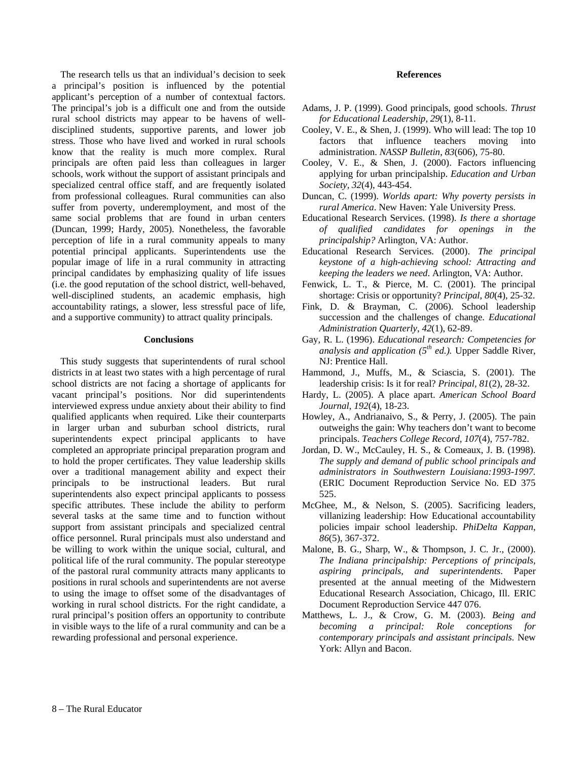The research tells us that an individual's decision to seek a principal's position is influenced by the potential applicant's perception of a number of contextual factors. The principal's job is a difficult one and from the outside rural school districts may appear to be havens of welldisciplined students, supportive parents, and lower job stress. Those who have lived and worked in rural schools know that the reality is much more complex. Rural principals are often paid less than colleagues in larger schools, work without the support of assistant principals and specialized central office staff, and are frequently isolated from professional colleagues. Rural communities can also suffer from poverty, underemployment, and most of the same social problems that are found in urban centers (Duncan, 1999; Hardy, 2005). Nonetheless, the favorable perception of life in a rural community appeals to many potential principal applicants. Superintendents use the popular image of life in a rural community in attracting principal candidates by emphasizing quality of life issues (i.e. the good reputation of the school district, well-behaved, well-disciplined students, an academic emphasis, high accountability ratings, a slower, less stressful pace of life, and a supportive community) to attract quality principals.

#### **Conclusions**

This study suggests that superintendents of rural school districts in at least two states with a high percentage of rural school districts are not facing a shortage of applicants for vacant principal's positions. Nor did superintendents interviewed express undue anxiety about their ability to find qualified applicants when required. Like their counterparts in larger urban and suburban school districts, rural superintendents expect principal applicants to have completed an appropriate principal preparation program and to hold the proper certificates. They value leadership skills over a traditional management ability and expect their principals to be instructional leaders. But rural superintendents also expect principal applicants to possess specific attributes. These include the ability to perform several tasks at the same time and to function without support from assistant principals and specialized central office personnel. Rural principals must also understand and be willing to work within the unique social, cultural, and political life of the rural community. The popular stereotype of the pastoral rural community attracts many applicants to positions in rural schools and superintendents are not averse to using the image to offset some of the disadvantages of working in rural school districts. For the right candidate, a rural principal's position offers an opportunity to contribute in visible ways to the life of a rural community and can be a rewarding professional and personal experience.

#### **References**

- Adams, J. P. (1999). Good principals, good schools. *Thrust for Educational Leadership, 29*(1), 8-11.
- Cooley, V. E., & Shen, J. (1999). Who will lead: The top 10 factors that influence teachers moving into administration. *NASSP Bulletin*, *83*(606), 75-80.
- Cooley, V. E., & Shen, J. (2000). Factors influencing applying for urban principalship. *Education and Urban Society, 32*(4), 443-454.
- Duncan, C. (1999). *Worlds apart: Why poverty persists in rural America*. New Haven: Yale University Press.
- Educational Research Services. (1998). *Is there a shortage of qualified candidates for openings in the principalship?* Arlington, VA: Author.
- Educational Research Services. (2000). *The principal keystone of a high-achieving school: Attracting and keeping the leaders we need*. Arlington, VA: Author.
- Fenwick, L. T., & Pierce, M. C. (2001). The principal shortage: Crisis or opportunity? *Principal*, *80*(4), 25-32.
- Fink, D. & Brayman, C. (2006). School leadership succession and the challenges of change. *Educational Administration Quarterly*, *42*(1), 62-89.
- Gay, R. L. (1996). *Educational research: Competencies for analysis and application (5th ed.).* Upper Saddle River, NJ: Prentice Hall.
- Hammond, J., Muffs, M., & Sciascia, S. (2001). The leadership crisis: Is it for real? *Principal, 81*(2), 28-32.
- Hardy, L. (2005). A place apart. *American School Board Journal*, *192*(4), 18-23.
- Howley, A., Andrianaivo, S., & Perry, J. (2005). The pain outweighs the gain: Why teachers don't want to become principals. *Teachers College Record, 107*(4), 757-782.
- Jordan, D. W., McCauley, H. S., & Comeaux, J. B. (1998). *The supply and demand of public school principals and administrators in Southwestern Louisiana:1993-1997.* (ERIC Document Reproduction Service No. ED 375 525.
- McGhee, M., & Nelson, S. (2005). Sacrificing leaders, villanizing leadership: How Educational accountability policies impair school leadership. *PhiDelta Kappan*, *86*(5), 367-372.
- Malone, B. G., Sharp, W., & Thompson, J. C. Jr., (2000). *The Indiana principalship: Perceptions of principals, aspiring principals, and superintendents*. Paper presented at the annual meeting of the Midwestern Educational Research Association, Chicago, Ill. ERIC Document Reproduction Service 447 076.
- Matthews, L. J., & Crow, G. M. (2003). *Being and becoming a principal: Role conceptions for contemporary principals and assistant principals.* New York: Allyn and Bacon.